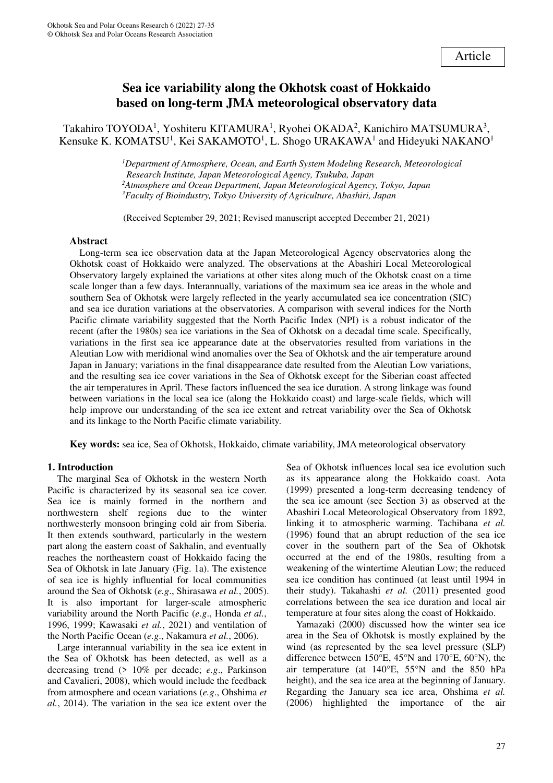# **Sea ice variability along the Okhotsk coast of Hokkaido based on long-term JMA meteorological observatory data**

## Takahiro TOYODA<sup>1</sup>, Yoshiteru KITAMURA<sup>1</sup>, Ryohei OKADA<sup>2</sup>, Kanichiro MATSUMURA<sup>3</sup>, Kensuke K. KOMATSU<sup>1</sup>, Kei SAKAMOTO<sup>1</sup>, L. Shogo URAKAWA<sup>1</sup> and Hideyuki NAKANO<sup>1</sup>

*Department of Atmosphere, Ocean, and Earth System Modeling Research, Meteorological Research Institute, Japan Meteorological Agency, Tsukuba, Japan Atmosphere and Ocean Department, Japan Meteorological Agency, Tokyo, Japan Faculty of Bioindustry, Tokyo University of Agriculture, Abashiri, Japan* 

(Received September 29, 2021; Revised manuscript accepted December 21, 2021)

## **Abstract**

Long-term sea ice observation data at the Japan Meteorological Agency observatories along the Okhotsk coast of Hokkaido were analyzed. The observations at the Abashiri Local Meteorological Observatory largely explained the variations at other sites along much of the Okhotsk coast on a time scale longer than a few days. Interannually, variations of the maximum sea ice areas in the whole and southern Sea of Okhotsk were largely reflected in the yearly accumulated sea ice concentration (SIC) and sea ice duration variations at the observatories. A comparison with several indices for the North Pacific climate variability suggested that the North Pacific Index (NPI) is a robust indicator of the recent (after the 1980s) sea ice variations in the Sea of Okhotsk on a decadal time scale. Specifically, variations in the first sea ice appearance date at the observatories resulted from variations in the Aleutian Low with meridional wind anomalies over the Sea of Okhotsk and the air temperature around Japan in January; variations in the final disappearance date resulted from the Aleutian Low variations, and the resulting sea ice cover variations in the Sea of Okhotsk except for the Siberian coast affected the air temperatures in April. These factors influenced the sea ice duration. A strong linkage was found between variations in the local sea ice (along the Hokkaido coast) and large-scale fields, which will help improve our understanding of the sea ice extent and retreat variability over the Sea of Okhotsk and its linkage to the North Pacific climate variability.

**Key words:** sea ice, Sea of Okhotsk, Hokkaido, climate variability, JMA meteorological observatory

## **1. Introduction**

The marginal Sea of Okhotsk in the western North Pacific is characterized by its seasonal sea ice cover. Sea ice is mainly formed in the northern and northwestern shelf regions due to the winter northwesterly monsoon bringing cold air from Siberia. It then extends southward, particularly in the western part along the eastern coast of Sakhalin, and eventually reaches the northeastern coast of Hokkaido facing the Sea of Okhotsk in late January (Fig. 1a). The existence of sea ice is highly influential for local communities around the Sea of Okhotsk (*e.g*., Shirasawa *et al.*, 2005). It is also important for larger-scale atmospheric variability around the North Pacific (*e.g*., Honda *et al.*, 1996, 1999; Kawasaki *et al.*, 2021) and ventilation of the North Pacific Ocean (*e.g*., Nakamura *et al.*, 2006).

Large interannual variability in the sea ice extent in the Sea of Okhotsk has been detected, as well as a decreasing trend (> 10% per decade; *e.g*., Parkinson and Cavalieri, 2008), which would include the feedback from atmosphere and ocean variations (*e.g*., Ohshima *et al.*, 2014). The variation in the sea ice extent over the Sea of Okhotsk influences local sea ice evolution such as its appearance along the Hokkaido coast. Aota (1999) presented a long-term decreasing tendency of the sea ice amount (see Section 3) as observed at the Abashiri Local Meteorological Observatory from 1892, linking it to atmospheric warming. Tachibana *et al.* (1996) found that an abrupt reduction of the sea ice cover in the southern part of the Sea of Okhotsk occurred at the end of the 1980s, resulting from a weakening of the wintertime Aleutian Low; the reduced sea ice condition has continued (at least until 1994 in their study). Takahashi *et al.* (2011) presented good correlations between the sea ice duration and local air temperature at four sites along the coast of Hokkaido.

Yamazaki (2000) discussed how the winter sea ice area in the Sea of Okhotsk is mostly explained by the wind (as represented by the sea level pressure (SLP) difference between 150°E, 45°N and 170°E, 60°N), the air temperature (at 140°E, 55°N and the 850 hPa height), and the sea ice area at the beginning of January. Regarding the January sea ice area, Ohshima *et al.* (2006) highlighted the importance of the air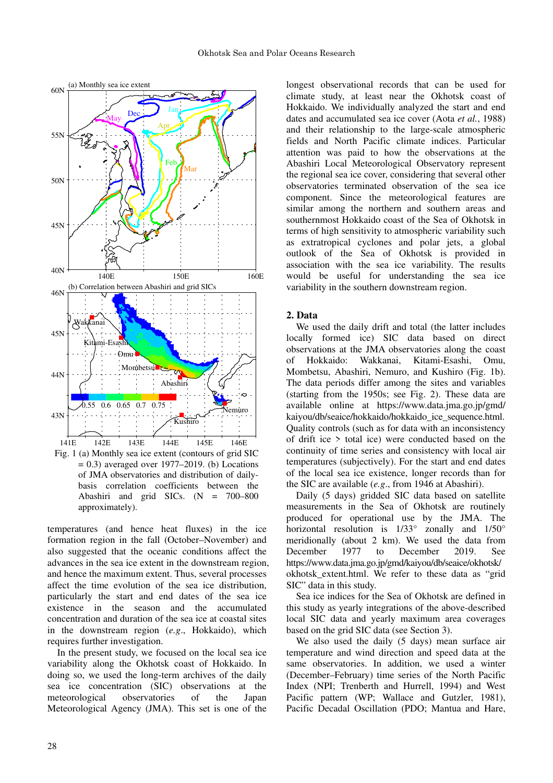

 Fig. 1 (a) Monthly sea ice extent (contours of grid SIC  $= 0.3$ ) averaged over 1977–2019. (b) Locations of JMA observatories and distribution of dailybasis correlation coefficients between the Abashiri and grid SICs. (N = 700–800 approximately).

temperatures (and hence heat fluxes) in the ice formation region in the fall (October–November) and also suggested that the oceanic conditions affect the advances in the sea ice extent in the downstream region, and hence the maximum extent. Thus, several processes affect the time evolution of the sea ice distribution, particularly the start and end dates of the sea ice existence in the season and the accumulated concentration and duration of the sea ice at coastal sites in the downstream region (*e.g*., Hokkaido), which requires further investigation.

In the present study, we focused on the local sea ice variability along the Okhotsk coast of Hokkaido. In doing so, we used the long-term archives of the daily sea ice concentration (SIC) observations at the meteorological observatories of the Japan Meteorological Agency (JMA). This set is one of the

longest observational records that can be used for climate study, at least near the Okhotsk coast of Hokkaido. We individually analyzed the start and end dates and accumulated sea ice cover (Aota *et al.*, 1988) and their relationship to the large-scale atmospheric fields and North Pacific climate indices. Particular attention was paid to how the observations at the Abashiri Local Meteorological Observatory represent the regional sea ice cover, considering that several other observatories terminated observation of the sea ice component. Since the meteorological features are similar among the northern and southern areas and southernmost Hokkaido coast of the Sea of Okhotsk in terms of high sensitivity to atmospheric variability such as extratropical cyclones and polar jets, a global outlook of the Sea of Okhotsk is provided in association with the sea ice variability. The results would be useful for understanding the sea ice variability in the southern downstream region.

#### **2. Data**

We used the daily drift and total (the latter includes locally formed ice) SIC data based on direct observations at the JMA observatories along the coast of Hokkaido: Wakkanai, Kitami-Esashi, Omu, Mombetsu, Abashiri, Nemuro, and Kushiro (Fig. 1b). The data periods differ among the sites and variables (starting from the 1950s; see Fig. 2). These data are available online at https://www.data.jma.go.jp/gmd/ kaiyou/db/seaice/hokkaido/hokkaido ice sequence.html. Quality controls (such as for data with an inconsistency of drift ice > total ice) were conducted based on the continuity of time series and consistency with local air temperatures (subjectively). For the start and end dates of the local sea ice existence, longer records than for the SIC are available (*e.g*., from 1946 at Abashiri).

Daily (5 days) gridded SIC data based on satellite measurements in the Sea of Okhotsk are routinely produced for operational use by the JMA. The horizontal resolution is 1/33° zonally and 1/50° meridionally (about 2 km). We used the data from December 1977 to December 2019. See https://www.data.jma.go.jp/gmd/kaiyou/db/seaice/okhotsk/ okhotsk\_extent.html. We refer to these data as "grid SIC" data in this study.

Sea ice indices for the Sea of Okhotsk are defined in this study as yearly integrations of the above-described local SIC data and yearly maximum area coverages based on the grid SIC data (see Section 3).

We also used the daily (5 days) mean surface air temperature and wind direction and speed data at the same observatories. In addition, we used a winter (December–February) time series of the North Pacific Index (NPI; Trenberth and Hurrell, 1994) and West Pacific pattern (WP; Wallace and Gutzler, 1981), Pacific Decadal Oscillation (PDO; Mantua and Hare,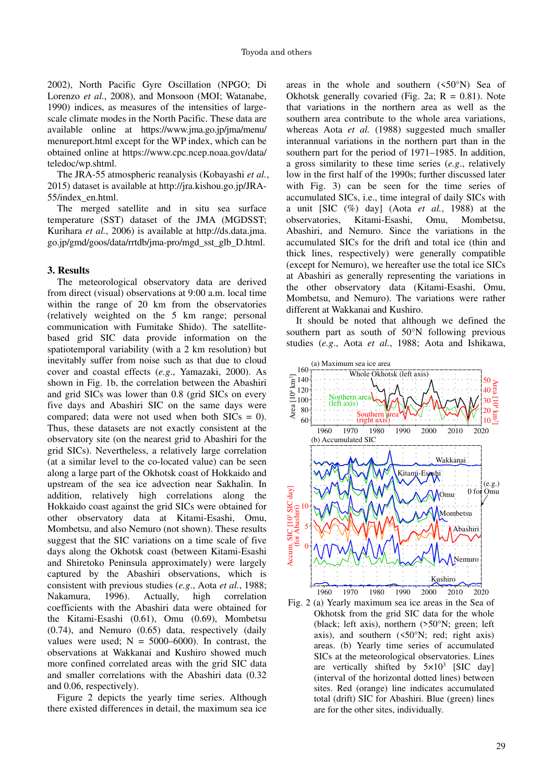2002), North Pacific Gyre Oscillation (NPGO; Di Lorenzo *et al.*, 2008), and Monsoon (MOI; Watanabe, 1990) indices, as measures of the intensities of largescale climate modes in the North Pacific. These data are available online at https://www.jma.go.jp/jma/menu/ menureport.html except for the WP index, which can be obtained online at https://www.cpc.ncep.noaa.gov/data/ teledoc/wp.shtml.

The JRA-55 atmospheric reanalysis (Kobayashi *et al.*, 2015) dataset is available at http://jra.kishou.go.jp/JRA-55/index\_en.html.

The merged satellite and in situ sea surface temperature (SST) dataset of the JMA (MGDSST; Kurihara *et al.*, 2006) is available at http://ds.data.jma. go.jp/gmd/goos/data/rrtdb/jma-pro/mgd\_sst\_glb\_D.html.

## **3. Results**

The meteorological observatory data are derived from direct (visual) observations at 9:00 a.m. local time within the range of 20 km from the observatories (relatively weighted on the 5 km range; personal communication with Fumitake Shido). The satellitebased grid SIC data provide information on the spatiotemporal variability (with a 2 km resolution) but inevitably suffer from noise such as that due to cloud cover and coastal effects (*e.g*., Yamazaki, 2000). As shown in Fig. 1b, the correlation between the Abashiri and grid SICs was lower than 0.8 (grid SICs on every five days and Abashiri SIC on the same days were compared; data were not used when both  $SICs = 0$ ). Thus, these datasets are not exactly consistent at the observatory site (on the nearest grid to Abashiri for the grid SICs). Nevertheless, a relatively large correlation (at a similar level to the co-located value) can be seen along a large part of the Okhotsk coast of Hokkaido and upstream of the sea ice advection near Sakhalin. In addition, relatively high correlations along the Hokkaido coast against the grid SICs were obtained for other observatory data at Kitami-Esashi, Omu, Mombetsu, and also Nemuro (not shown). These results suggest that the SIC variations on a time scale of five days along the Okhotsk coast (between Kitami-Esashi and Shiretoko Peninsula approximately) were largely captured by the Abashiri observations, which is consistent with previous studies (*e.g*., Aota *et al.*, 1988; Nakamura, 1996). Actually, high correlation coefficients with the Abashiri data were obtained for the Kitami-Esashi (0.61), Omu (0.69), Mombetsu (0.74), and Nemuro (0.65) data, respectively (daily values were used;  $N = 5000-6000$ . In contrast, the observations at Wakkanai and Kushiro showed much more confined correlated areas with the grid SIC data and smaller correlations with the Abashiri data (0.32 and 0.06, respectively).

Figure 2 depicts the yearly time series. Although there existed differences in detail, the maximum sea ice

areas in the whole and southern (<50°N) Sea of Okhotsk generally covaried (Fig. 2a;  $R = 0.81$ ). Note that variations in the northern area as well as the southern area contribute to the whole area variations, whereas Aota *et al.* (1988) suggested much smaller interannual variations in the northern part than in the southern part for the period of 1971–1985. In addition, a gross similarity to these time series (*e.g*., relatively low in the first half of the 1990s; further discussed later with Fig. 3) can be seen for the time series of accumulated SICs, i.e., time integral of daily SICs with a unit [SIC (%) day] (Aota *et al.*, 1988) at the observatories, Kitami-Esashi, Omu, Mombetsu, Abashiri, and Nemuro. Since the variations in the accumulated SICs for the drift and total ice (thin and thick lines, respectively) were generally compatible (except for Nemuro), we hereafter use the total ice SICs at Abashiri as generally representing the variations in the other observatory data (Kitami-Esashi, Omu, Mombetsu, and Nemuro). The variations were rather different at Wakkanai and Kushiro.

It should be noted that although we defined the southern part as south of 50°N following previous studies (*e.g*., Aota *et al.*, 1988; Aota and Ishikawa,



 Fig. 2 (a) Yearly maximum sea ice areas in the Sea of Okhotsk from the grid SIC data for the whole (black; left axis), northern (>50°N; green; left axis), and southern (<50°N; red; right axis) areas. (b) Yearly time series of accumulated SICs at the meteorological observatories. Lines are vertically shifted by  $5 \times 10^3$  [SIC day] (interval of the horizontal dotted lines) between sites. Red (orange) line indicates accumulated total (drift) SIC for Abashiri. Blue (green) lines are for the other sites, individually.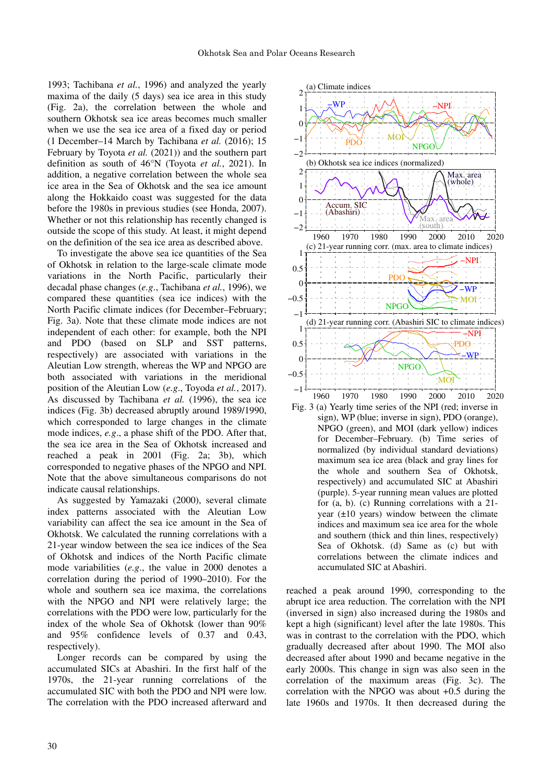1993; Tachibana *et al.*, 1996) and analyzed the yearly maxima of the daily (5 days) sea ice area in this study (Fig. 2a), the correlation between the whole and southern Okhotsk sea ice areas becomes much smaller when we use the sea ice area of a fixed day or period (1 December–14 March by Tachibana *et al.* (2016); 15 February by Toyota *et al.* (2021)) and the southern part definition as south of 46°N (Toyota *et al.*, 2021). In addition, a negative correlation between the whole sea ice area in the Sea of Okhotsk and the sea ice amount along the Hokkaido coast was suggested for the data before the 1980s in previous studies (see Honda, 2007). Whether or not this relationship has recently changed is outside the scope of this study. At least, it might depend on the definition of the sea ice area as described above.

To investigate the above sea ice quantities of the Sea of Okhotsk in relation to the large-scale climate mode variations in the North Pacific, particularly their decadal phase changes (*e.g*., Tachibana *et al.*, 1996), we compared these quantities (sea ice indices) with the North Pacific climate indices (for December–February; Fig. 3a). Note that these climate mode indices are not independent of each other: for example, both the NPI and PDO (based on SLP and SST patterns, respectively) are associated with variations in the Aleutian Low strength, whereas the WP and NPGO are both associated with variations in the meridional position of the Aleutian Low (*e.g*., Toyoda *et al.*, 2017). As discussed by Tachibana *et al.* (1996), the sea ice indices (Fig. 3b) decreased abruptly around 1989/1990, which corresponded to large changes in the climate mode indices, *e.g*., a phase shift of the PDO. After that, the sea ice area in the Sea of Okhotsk increased and reached a peak in 2001 (Fig. 2a; 3b), which corresponded to negative phases of the NPGO and NPI. Note that the above simultaneous comparisons do not indicate causal relationships.

As suggested by Yamazaki (2000), several climate index patterns associated with the Aleutian Low variability can affect the sea ice amount in the Sea of Okhotsk. We calculated the running correlations with a 21-year window between the sea ice indices of the Sea of Okhotsk and indices of the North Pacific climate mode variabilities (*e.g*., the value in 2000 denotes a correlation during the period of 1990–2010). For the whole and southern sea ice maxima, the correlations with the NPGO and NPI were relatively large; the correlations with the PDO were low, particularly for the index of the whole Sea of Okhotsk (lower than 90% and 95% confidence levels of 0.37 and 0.43, respectively).

Longer records can be compared by using the accumulated SICs at Abashiri. In the first half of the 1970s, the 21-year running correlations of the accumulated SIC with both the PDO and NPI were low. The correlation with the PDO increased afterward and



sign), WP (blue; inverse in sign), PDO (orange), NPGO (green), and MOI (dark yellow) indices for December–February. (b) Time series of normalized (by individual standard deviations) maximum sea ice area (black and gray lines for the whole and southern Sea of Okhotsk, respectively) and accumulated SIC at Abashiri (purple). 5-year running mean values are plotted for (a, b). (c) Running correlations with a 21 year  $(\pm 10 \text{ years})$  window between the climate indices and maximum sea ice area for the whole and southern (thick and thin lines, respectively) Sea of Okhotsk. (d) Same as (c) but with correlations between the climate indices and accumulated SIC at Abashiri.

reached a peak around 1990, corresponding to the abrupt ice area reduction. The correlation with the NPI (inversed in sign) also increased during the 1980s and kept a high (significant) level after the late 1980s. This was in contrast to the correlation with the PDO, which gradually decreased after about 1990. The MOI also decreased after about 1990 and became negative in the early 2000s. This change in sign was also seen in the correlation of the maximum areas (Fig. 3c). The correlation with the NPGO was about +0.5 during the late 1960s and 1970s. It then decreased during the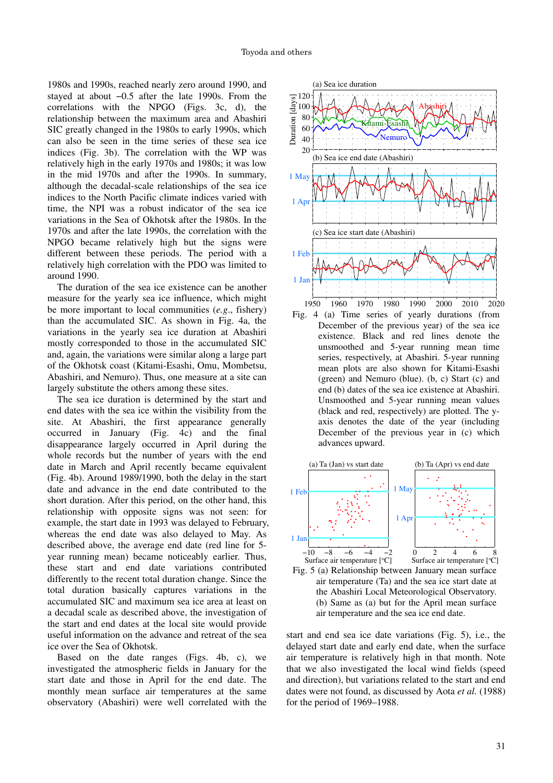1980s and 1990s, reached nearly zero around 1990, and stayed at about −0.5 after the late 1990s. From the correlations with the NPGO (Figs. 3c, d), the relationship between the maximum area and Abashiri SIC greatly changed in the 1980s to early 1990s, which can also be seen in the time series of these sea ice indices (Fig. 3b). The correlation with the WP was relatively high in the early 1970s and 1980s; it was low in the mid 1970s and after the 1990s. In summary, although the decadal-scale relationships of the sea ice indices to the North Pacific climate indices varied with time, the NPI was a robust indicator of the sea ice variations in the Sea of Okhotsk after the 1980s. In the 1970s and after the late 1990s, the correlation with the NPGO became relatively high but the signs were different between these periods. The period with a relatively high correlation with the PDO was limited to around 1990.

The duration of the sea ice existence can be another measure for the yearly sea ice influence, which might be more important to local communities (*e.g*., fishery) than the accumulated SIC. As shown in Fig. 4a, the variations in the yearly sea ice duration at Abashiri mostly corresponded to those in the accumulated SIC and, again, the variations were similar along a large part of the Okhotsk coast (Kitami-Esashi, Omu, Mombetsu, Abashiri, and Nemuro). Thus, one measure at a site can largely substitute the others among these sites.

The sea ice duration is determined by the start and end dates with the sea ice within the visibility from the site. At Abashiri, the first appearance generally occurred in January (Fig. 4c) and the final disappearance largely occurred in April during the whole records but the number of years with the end date in March and April recently became equivalent (Fig. 4b). Around 1989/1990, both the delay in the start date and advance in the end date contributed to the short duration. After this period, on the other hand, this relationship with opposite signs was not seen: for example, the start date in 1993 was delayed to February, whereas the end date was also delayed to May. As described above, the average end date (red line for 5 year running mean) became noticeably earlier. Thus, these start and end date variations contributed differently to the recent total duration change. Since the total duration basically captures variations in the accumulated SIC and maximum sea ice area at least on a decadal scale as described above, the investigation of the start and end dates at the local site would provide useful information on the advance and retreat of the sea ice over the Sea of Okhotsk.

Based on the date ranges (Figs. 4b, c), we investigated the atmospheric fields in January for the start date and those in April for the end date. The monthly mean surface air temperatures at the same observatory (Abashiri) were well correlated with the



 Fig. 4 (a) Time series of yearly durations (from December of the previous year) of the sea ice existence. Black and red lines denote the unsmoothed and 5-year running mean time series, respectively, at Abashiri. 5-year running mean plots are also shown for Kitami-Esashi (green) and Nemuro (blue). (b, c) Start (c) and end (b) dates of the sea ice existence at Abashiri. Unsmoothed and 5-year running mean values (black and red, respectively) are plotted. The yaxis denotes the date of the year (including December of the previous year in (c) which advances upward.



 Fig. 5 (a) Relationship between January mean surface air temperature (Ta) and the sea ice start date at the Abashiri Local Meteorological Observatory. (b) Same as (a) but for the April mean surface air temperature and the sea ice end date.

start and end sea ice date variations (Fig. 5), i.e., the delayed start date and early end date, when the surface air temperature is relatively high in that month. Note that we also investigated the local wind fields (speed and direction), but variations related to the start and end dates were not found, as discussed by Aota *et al.* (1988) for the period of 1969–1988.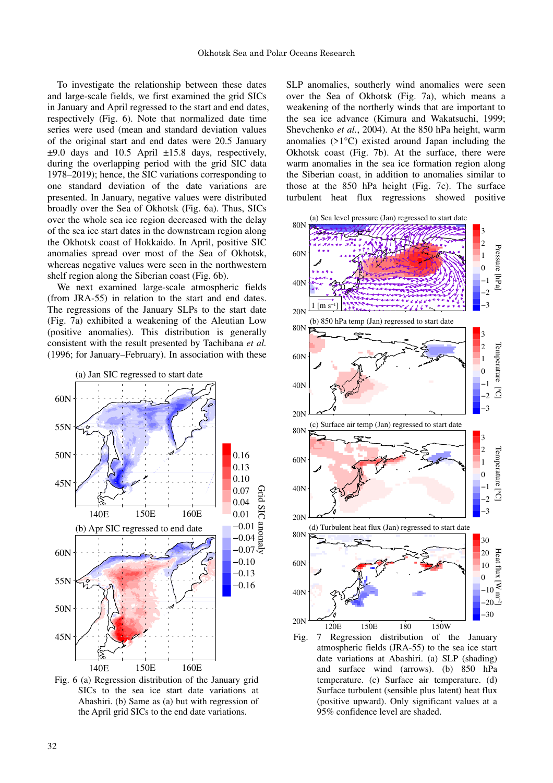To investigate the relationship between these dates and large-scale fields, we first examined the grid SICs in January and April regressed to the start and end dates, respectively (Fig. 6). Note that normalized date time series were used (mean and standard deviation values of the original start and end dates were 20.5 January  $\pm 9.0$  days and 10.5 April  $\pm 15.8$  days, respectively, during the overlapping period with the grid SIC data 1978–2019); hence, the SIC variations corresponding to one standard deviation of the date variations are presented. In January, negative values were distributed broadly over the Sea of Okhotsk (Fig. 6a). Thus, SICs over the whole sea ice region decreased with the delay of the sea ice start dates in the downstream region along the Okhotsk coast of Hokkaido. In April, positive SIC anomalies spread over most of the Sea of Okhotsk, whereas negative values were seen in the northwestern shelf region along the Siberian coast (Fig. 6b).

We next examined large-scale atmospheric fields (from JRA-55) in relation to the start and end dates. The regressions of the January SLPs to the start date (Fig. 7a) exhibited a weakening of the Aleutian Low (positive anomalies). This distribution is generally consistent with the result presented by Tachibana *et al.* (1996; for January–February). In association with these



 Fig. 6 (a) Regression distribution of the January grid SICs to the sea ice start date variations at Abashiri. (b) Same as (a) but with regression of the April grid SICs to the end date variations.

SLP anomalies, southerly wind anomalies were seen over the Sea of Okhotsk (Fig. 7a), which means a weakening of the northerly winds that are important to the sea ice advance (Kimura and Wakatsuchi, 1999; Shevchenko *et al.*, 2004). At the 850 hPa height, warm anomalies (>1°C) existed around Japan including the Okhotsk coast (Fig. 7b). At the surface, there were warm anomalies in the sea ice formation region along the Siberian coast, in addition to anomalies similar to those at the 850 hPa height (Fig. 7c). The surface turbulent heat flux regressions showed positive



atmospheric fields (JRA-55) to the sea ice start date variations at Abashiri. (a) SLP (shading) and surface wind (arrows). (b) 850 hPa temperature. (c) Surface air temperature. (d) Surface turbulent (sensible plus latent) heat flux (positive upward). Only significant values at a 95% confidence level are shaded.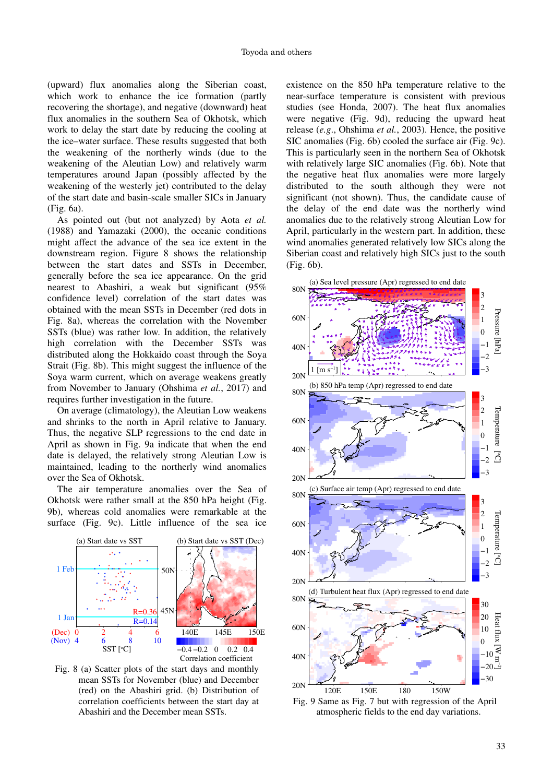(upward) flux anomalies along the Siberian coast, which work to enhance the ice formation (partly recovering the shortage), and negative (downward) heat flux anomalies in the southern Sea of Okhotsk, which work to delay the start date by reducing the cooling at the ice–water surface. These results suggested that both the weakening of the northerly winds (due to the weakening of the Aleutian Low) and relatively warm temperatures around Japan (possibly affected by the weakening of the westerly jet) contributed to the delay of the start date and basin-scale smaller SICs in January (Fig. 6a).

As pointed out (but not analyzed) by Aota *et al.* (1988) and Yamazaki (2000), the oceanic conditions might affect the advance of the sea ice extent in the downstream region. Figure 8 shows the relationship between the start dates and SSTs in December, generally before the sea ice appearance. On the grid nearest to Abashiri, a weak but significant (95% confidence level) correlation of the start dates was obtained with the mean SSTs in December (red dots in Fig. 8a), whereas the correlation with the November SSTs (blue) was rather low. In addition, the relatively high correlation with the December SSTs was distributed along the Hokkaido coast through the Soya Strait (Fig. 8b). This might suggest the influence of the Soya warm current, which on average weakens greatly from November to January (Ohshima *et al.*, 2017) and requires further investigation in the future.

On average (climatology), the Aleutian Low weakens and shrinks to the north in April relative to January. Thus, the negative SLP regressions to the end date in April as shown in Fig. 9a indicate that when the end date is delayed, the relatively strong Aleutian Low is maintained, leading to the northerly wind anomalies over the Sea of Okhotsk.

The air temperature anomalies over the Sea of Okhotsk were rather small at the 850 hPa height (Fig. 9b), whereas cold anomalies were remarkable at the surface (Fig. 9c). Little influence of the sea ice



 Fig. 8 (a) Scatter plots of the start days and monthly mean SSTs for November (blue) and December (red) on the Abashiri grid. (b) Distribution of correlation coefficients between the start day at Abashiri and the December mean SSTs.

existence on the 850 hPa temperature relative to the near-surface temperature is consistent with previous studies (see Honda, 2007). The heat flux anomalies were negative (Fig. 9d), reducing the upward heat release (*e.g*., Ohshima *et al.*, 2003). Hence, the positive SIC anomalies (Fig. 6b) cooled the surface air (Fig. 9c). This is particularly seen in the northern Sea of Okhotsk with relatively large SIC anomalies (Fig. 6b). Note that the negative heat flux anomalies were more largely distributed to the south although they were not significant (not shown). Thus, the candidate cause of the delay of the end date was the northerly wind anomalies due to the relatively strong Aleutian Low for April, particularly in the western part. In addition, these wind anomalies generated relatively low SICs along the Siberian coast and relatively high SICs just to the south (Fig. 6b).



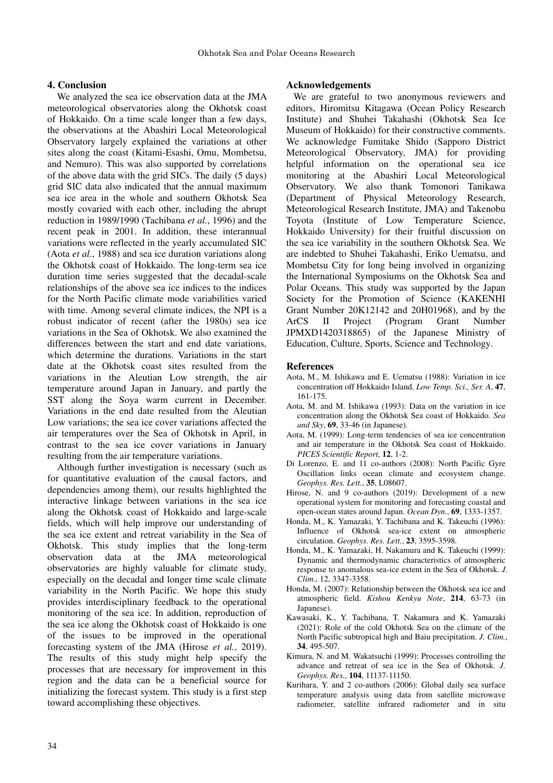## **4. Conclusion**

We analyzed the sea ice observation data at the JMA meteorological observatories along the Okhotsk coast of Hokkaido. On a time scale longer than a few days, the observations at the Abashiri Local Meteorological Observatory largely explained the variations at other sites along the coast (Kitami-Esashi, Omu, Mombetsu, and Nemuro). This was also supported by correlations of the above data with the grid SICs. The daily (5 days) grid SIC data also indicated that the annual maximum sea ice area in the whole and southern Okhotsk Sea mostly covaried with each other, including the abrupt reduction in 1989/1990 (Tachibana *et al.*, 1996) and the recent peak in 2001. In addition, these interannual variations were reflected in the yearly accumulated SIC (Aota *et al.*, 1988) and sea ice duration variations along the Okhotsk coast of Hokkaido. The long-term sea ice duration time series suggested that the decadal-scale relationships of the above sea ice indices to the indices for the North Pacific climate mode variabilities varied with time. Among several climate indices, the NPI is a robust indicator of recent (after the 1980s) sea ice variations in the Sea of Okhotsk. We also examined the differences between the start and end date variations, which determine the durations. Variations in the start date at the Okhotsk coast sites resulted from the variations in the Aleutian Low strength, the air temperature around Japan in January, and partly the SST along the Soya warm current in December. Variations in the end date resulted from the Aleutian Low variations; the sea ice cover variations affected the air temperatures over the Sea of Okhotsk in April, in contrast to the sea ice cover variations in January resulting from the air temperature variations.

Although further investigation is necessary (such as for quantitative evaluation of the causal factors, and dependencies among them), our results highlighted the interactive linkage between variations in the sea ice along the Okhotsk coast of Hokkaido and large-scale fields, which will help improve our understanding of the sea ice extent and retreat variability in the Sea of Okhotsk. This study implies that the long-term observation data at the JMA meteorological observatories are highly valuable for climate study, especially on the decadal and longer time scale climate variability in the North Pacific. We hope this study provides interdisciplinary feedback to the operational monitoring of the sea ice. In addition, reproduction of the sea ice along the Okhotsk coast of Hokkaido is one of the issues to be improved in the operational forecasting system of the JMA (Hirose *et al.*, 2019). The results of this study might help specify the processes that are necessary for improvement in this region and the data can be a beneficial source for initializing the forecast system. This study is a first step toward accomplishing these objectives.

#### **Acknowledgements**

 We are grateful to two anonymous reviewers and editors, Hiromitsu Kitagawa (Ocean Policy Research Institute) and Shuhei Takahashi (Okhotsk Sea Ice Museum of Hokkaido) for their constructive comments. We acknowledge Fumitake Shido (Sapporo District Meteorological Observatory, JMA) for providing helpful information on the operational sea ice monitoring at the Abashiri Local Meteorological Observatory. We also thank Tomonori Tanikawa (Department of Physical Meteorology Research, Meteorological Research Institute, JMA) and Takenobu Toyota (Institute of Low Temperature Science, Hokkaido University) for their fruitful discussion on the sea ice variability in the southern Okhotsk Sea. We are indebted to Shuhei Takahashi, Eriko Uematsu, and Mombetsu City for long being involved in organizing the International Symposiums on the Okhotsk Sea and Polar Oceans. This study was supported by the Japan Society for the Promotion of Science (KAKENHI Grant Number 20K12142 and 20H01968), and by the ArCS II Project (Program Grant Number JPMXD1420318865) of the Japanese Ministry of Education, Culture, Sports, Science and Technology.

#### **References**

- Aota, M., M. Ishikawa and E. Uematsu (1988): Variation in ice concentration off Hokkaido Island. *Low Temp. Sci., Ser. A*, **47**, 161-175.
- Aota, M. and M. Ishikawa (1993): Data on the variation in ice concentration along the Okhotsk Sea coast of Hokkaido. *Sea and Sky*, **69**, 33-46 (in Japanese).
- Aota, M. (1999): Long-term tendencies of sea ice concentration and air temperature in the Okhotsk Sea coast of Hokkaido. *PICES Scientific Report*, **12**, 1-2.
- Di Lorenzo, E. and 11 co-authors (2008): North Pacific Gyre Oscillation links ocean climate and ecosystem change. *Geophys. Res. Lett.*, **35**, L08607.
- Hirose, N. and 9 co-authors (2019): Development of a new operational system for monitoring and forecasting coastal and open-ocean states around Japan. *Ocean Dyn.*, **69**, 1333-1357.
- Honda, M., K. Yamazaki, Y. Tachibana and K. Takeuchi (1996): Influence of Okhotsk sea-ice extent on atmospheric circulation. *Geophys. Res. Lett.*, **23**, 3595-3598.
- Honda, M., K. Yamazaki, H. Nakamura and K. Takeuchi (1999): Dynamic and thermodynamic characteristics of atmospheric response to anomalous sea-ice extent in the Sea of Okhotsk. *J. Clim.*, 12, 3347-3358.
- Honda, M. (2007): Relationship between the Okhotsk sea ice and atmospheric field. *Kishou Kenkyu Note*, **214**, 63-73 (in Japanese).
- Kawasaki, K., Y. Tachibana, T. Nakamura and K. Yamazaki (2021): Role of the cold Okhotsk Sea on the climate of the North Pacific subtropical high and Baiu precipitation. *J. Clim.*, **34**, 495-507.
- Kimura, N. and M. Wakatsuchi (1999): Processes controlling the advance and retreat of sea ice in the Sea of Okhotsk. *J. Geophys. Res.*, **104**, 11137-11150.
- Kurihara, Y. and 2 co-authors (2006): Global daily sea surface temperature analysis using data from satellite microwave radiometer, satellite infrared radiometer and in situ